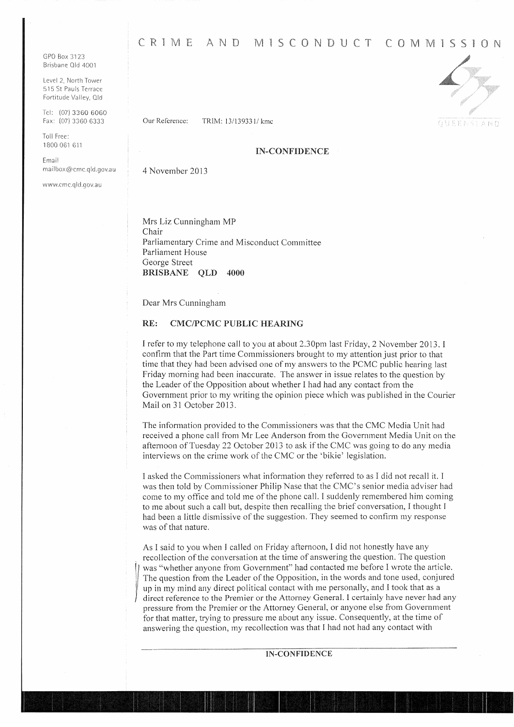GPO Box 3123 Brisbane Old 4001

Level 2, North Tower 515 St Pauls Terrace Fortitude Valley, Old

ICI: (07) 3360 6060 Fax: (07) 3360 6333

Toll Free: 1800 061 611

Email mailbox@cmc.qld.gov.au

wwvv,crnc.q ld.qov.a u

CRIME AND MISCONDUCT COMMISSION

Our Reference: TRJM: 13/139331/ kmc





# IN-CONFIDENCE

4 November 2013

Mrs Liz Cunningham MP Chair Parliamentary Crime and Misconduct Committee Parliament House George Street BRISBANE QLD 4000

Dear Mrs Cunningham

#### RE: CMC/PCMC PUBLIC HEARING

I refer to my telephone call to you at about 2.30pm last Friday, 2 November 2013. I confirm that the Part time Commissioners brought to my attention just prior to that time that they had been advised one of my answers to the PCMC public hearing last Friday morning had been inaccurate. The answer in issue relates to the question by the Leader of the Opposition about whether l had had any contact from the Government prior to my writing the opinion piece which was published in the Courier Mail on 31 October 2013.

The information provided to the Commissioners was that the CMC Media Unit had received a phone call from Mr Lee Anderson from the Government Media Unit on the afternoon of Tuesday 22 October 2013 to ask if the CMC was going to do any media interviews on the crime work of the CMC or the 'bikie' legislation.

l asked the Commissioners what information they referred to as I did not recall it. I was then told by Commissioner Philip Nase that the CMC's senior media adviser had come to my office and told me of the phone call. I suddenly remembered him coming to me about such a call but, despite then recalling the brief conversation, 1 thought I had been a little dismissive of the suggestion. They seemed to confirm my response was of that nature.

As I said to you when J called on Friday afternoon, I did not honestly have any . recollection of the conversation at the time of answering the question. The question was "whether anyone from Government" had contacted me before I wrote the article. The question from the Leader of the Opposition, in the words and tone used, conjured up in my mind any direct political contact with me personally, and I took that as a direct reference to the Premier or the Attorney General. I certainly have never had any pressure from the Premier or the Attorney General, or anyone else from Government for that matter, trying to pressure me about any issue. Consequently, at the time of answering the question, my recollection was that l had not had any contact with

#### IN-CONFIDENCE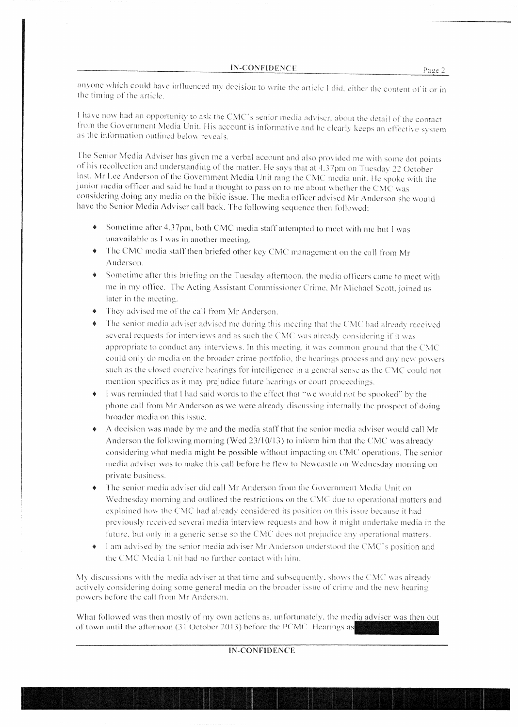anyone which could have influenced my decision to write the article I did, either the content of it or in the timing of the article.

I have now had an opportunity to ask the CMC's senior media adviser, about the detail of the contact from the Government Media Unit. His account is informative and he clearly keeps an effective system as the information outlined below reveals.

The Senior Media Adviser has given me a verbal account and also provided me with some dot points of his recollection and understanding of the matter. He says that at 4.37pm on Tuesday 22 October last, Mr Lee Anderson of the Government Media Unit rang the CMC media unit. He spoke with the junior media officer and said he had a thought to pass on to me about whether the CMC was considering doing any media on the bikie issue. The media officer advised Mr Anderson she would have the Senior Media Adviser call back. The following sequence then followed:

- Sometime after 4.37pm, both CMC media staff attempted to meet with me but I was unavailable as I was in another meeting.
- The CMC media staff then briefed other key CMC management on the call from Mr Anderson.
- Sometime after this briefing on the Tuesday afternoon, the media officers came to meet with me in my office. The Acting Assistant Commissioner Crime, Mr Michael Scott, joined us later in the meeting.
- They advised me of the call from Mr Anderson.
- The senior media adviser advised me during this meeting that the CMC had already received several requests for interviews and as such the CMC was already considering if it was appropriate to conduct any interviews. In this meeting, it was common ground that the CMC could only do media on the broader crime portfolio, the hearings process and any new powers such as the closed coercive hearings for intelligence in a general sense as the CMC could not mention specifics as it may prejudice future hearings or court proceedings.
- I was reminded that I had said words to the effect that "we would not be spooked" by the phone call from Mr Anderson as we were already discussing internally the prospect of doing broader media on this issue.
- A decision was made by me and the media staff that the senior media adviser would call Mr Anderson the following morning (Wed 23/10/13) to inform him that the CMC was already considering what media might be possible without impacting on CMC operations. The senior media adviser was to make this call before he flew to Newcastle on Wednesday morning on private business.
- The senior media adviser did call Mr Anderson from the Government Media Unit on Wednesday morning and outlined the restrictions on the CMC due to operational matters and explained how the CMC had already considered its position on this issue because it had previously received several media interview requests and how it might undertake media in the future, but only in a generic sense so the CMC does not prejudice any operational matters.
- I am advised by the senior media adviser Mr Anderson understood the CMC's position and the CMC Media Unit had no further contact with him.

My discussions with the media adviser at that time and subsequently, shows the CMC was already actively considering doing some general media on the broader issue of crime and the new hearing powers before the call from Mr Anderson.

What followed was then mostly of my own actions as, unfortunately, the media adviser was then out of town until the afternoon (31 October 2013) before the PCMC. Hearings as

### **IN-CONFIDENCE**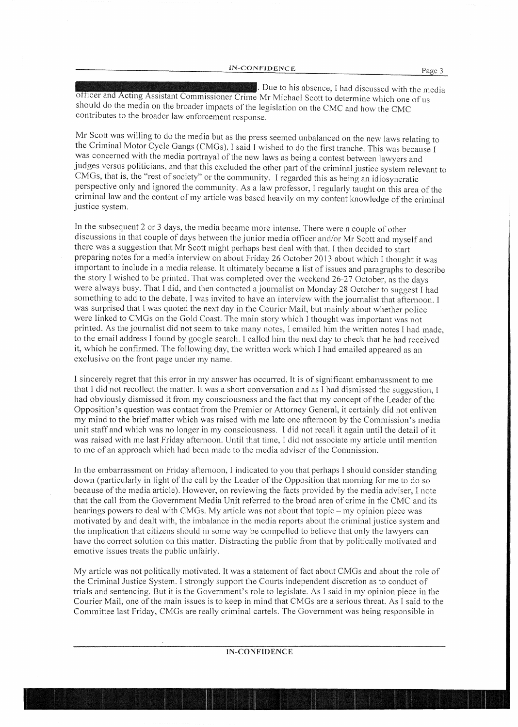. Due to his absence, I had discussed with the media officer and Acting Assistant Commissioner Crime Mr Michael Scott to determine which one of us should do the media on the broader impacts of the legislation on the CMC and how the CMC contributes to the broader law enforcement response.

Mr Scott was willing to do the media but as the press seemed unbalanced on the new laws relating to the Criminal Motor Cycle Gangs (CMGs), I said I wished to do the first tranche. This was because I was concerned with the media portrayal of the new laws as being a contest between lawyers and judges versus politicians, and that this excluded the other part of the criminal justice system relevant to CMGs, that is, the "rest of society" or the community. I regarded this as being an idiosyncratic perspective only and ignored the community. As a law professor, I regularly taught on this area of the criminal law and the content of my article was based heavily on my content knowledge ofthe criminal justice system.

In the subsequent 2 or 3 days, the media became more intense. There were a couple of other discussions in that couple of days between the junior media officer and/or Mr Scott and myself and there was a suggestion that Mr Scott might perhaps best deal with that. l then decided to start preparing notes for a media interview on about Friday 26 October 2013 about which I thought it was important to include in a media release. It ultimately became a list of issues and paragraphs to describe the story I wished to be printed. That was completed over the weekend 26-27 October, as the days were always busy. That I did, and then contacted a journalist on Monday 28 October to suggest I had something to add to the debate. I was invited to have an interview with the journalist that afternoon. I was surprised that I was quoted the next day in the Courier Mail, but mainly about whether police were linked to CMGs on the Gold Coast. The main story which I thought was important was not printed. As the journalist did not seem to take many notes, I emailed him the written notes I had made, to the email address I found by google search. I called him the next day to check that he had received it, which he confirmed. The following day, the written work which I had emailed appeared as an exclusive on the front page under my name.

I sincerely regret that this error in my answer has occurred. It is of significant embarrassment to me that 1 did not recollect the matter. It was a short conversation and as I had dismissed the suggestion, I had obviously dismissed it from my consciousness and the fact that my concept of the Leader of the Opposition's question was contact from the Premier or Attorney General, it certainly did not enliven my mind to the brief matter which was raised with me late one afternoon by the Commission's media unit staff and which was no longer in my consciousness. I did not recall it again until the detail of it was raised with me last Friday afternoon. Until that time, 1 did not associate my article until mention to me of an approach which had been made to the media adviser of the Commission.

In the embarrassment on Friday afternoon, I indicated to you that perhaps I should consider standing down (particularly in light of the call by the Leader of the Opposition that morning for me to do so because of the media article). However, on reviewing the facts provided by the media adviser, I note that the call from the Government Media Unit referred to the broad area of crime in the CMC and its hearings powers to deal with CMGs. My article was not about that topic- my opinion piece was motivated by and dealt with, the imbalance in the media reports about the criminal justice system and the implication that citizens should in some way be compelled to believe that only the lawyers can have the correct solution on this matter. Distracting the public from that by politically motivated and emotive issues treats the public unfairly.

My article was not politically motivated. It was a statement of fact about CMGs and about the role of the Criminal Justice System. l strongly support the Courts independent discretion as to conduct of trials and sentencing. But it is the Government's role to legislate. As I said in my opinion piece in the Courier Mail, one of the main issues is to keep in mind that CMGs are a serious threat. As I said to the Committee last Friday, CMGs are really criminal cartels. The Government was being responsible in

## IN-CONFIDENCE